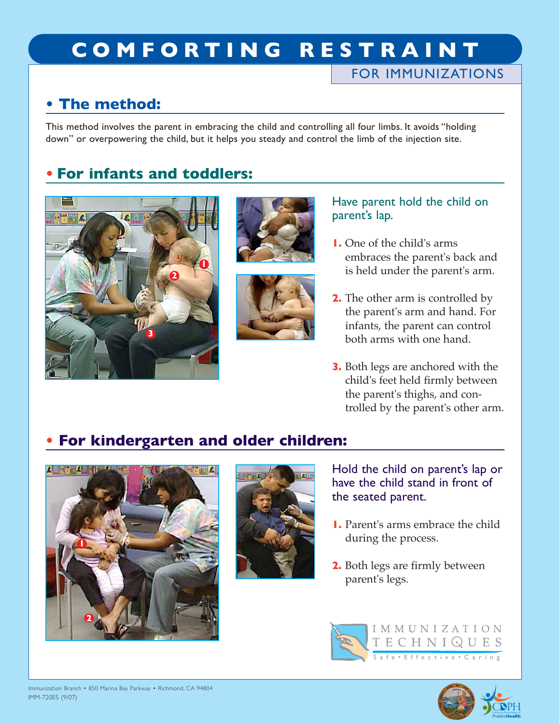# **COMFORTING RESTRAINT**

### FOR IMMUNIZATIONS

### **• The method:**

This method involves the parent in embracing the child and controlling all four limbs. It avoids "holding down" or overpowering the child, but it helps you steady and control the limb of the injection site.

### **• For infants and toddlers:**







#### Have parent hold the child on parent's lap.

- **1.** One of the child's arms embraces the parent's back and is held under the parent's arm.
- **2.** The other arm is controlled by the parent's arm and hand. For infants, the parent can control both arms with one hand.
- **3.** Both legs are anchored with the child's feet held firmly between the parent's thighs, and controlled by the parent's other arm.

## **• For kindergarten and older children:**





Hold the child on parent's lap or have the child stand in front of the seated parent.

- **1.** Parent's arms embrace the child during the process.
- **2.** Both legs are firmly between parent's legs.